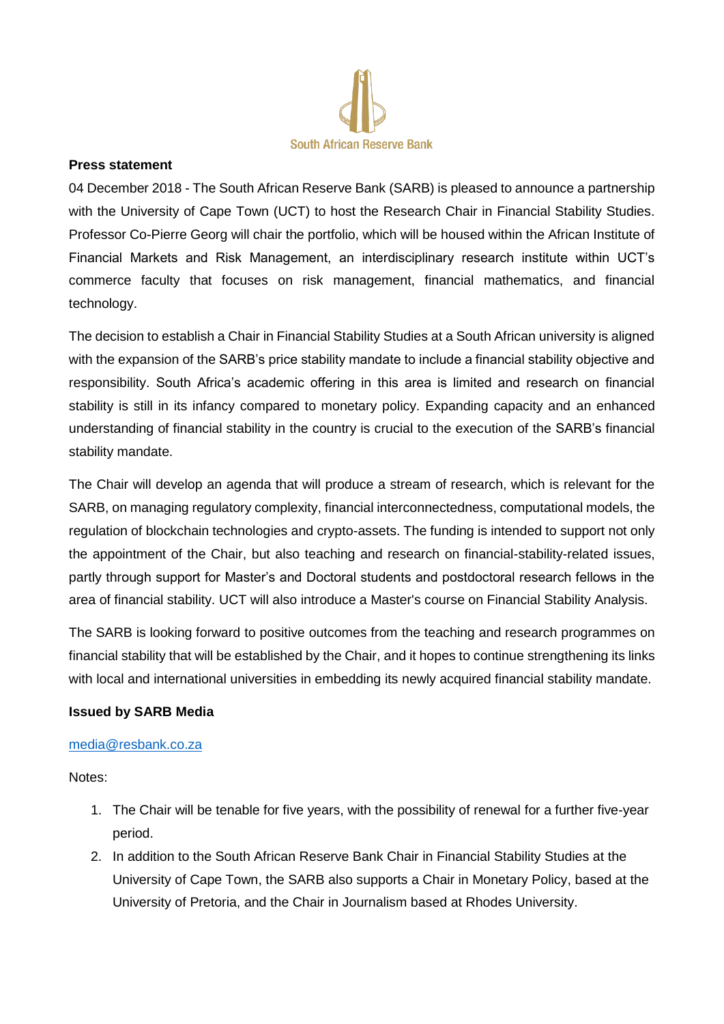

## **Press statement**

04 December 2018 - The South African Reserve Bank (SARB) is pleased to announce a partnership with the University of Cape Town (UCT) to host the Research Chair in Financial Stability Studies. Professor Co-Pierre Georg will chair the portfolio, which will be housed within the African Institute of Financial Markets and Risk Management, an interdisciplinary research institute within UCT's commerce faculty that focuses on risk management, financial mathematics, and financial technology.

The decision to establish a Chair in Financial Stability Studies at a South African university is aligned with the expansion of the SARB's price stability mandate to include a financial stability objective and responsibility. South Africa's academic offering in this area is limited and research on financial stability is still in its infancy compared to monetary policy. Expanding capacity and an enhanced understanding of financial stability in the country is crucial to the execution of the SARB's financial stability mandate.

The Chair will develop an agenda that will produce a stream of research, which is relevant for the SARB, on managing regulatory complexity, financial interconnectedness, computational models, the regulation of blockchain technologies and crypto-assets. The funding is intended to support not only the appointment of the Chair, but also teaching and research on financial-stability-related issues, partly through support for Master's and Doctoral students and postdoctoral research fellows in the area of financial stability. UCT will also introduce a Master's course on Financial Stability Analysis.

The SARB is looking forward to positive outcomes from the teaching and research programmes on financial stability that will be established by the Chair, and it hopes to continue strengthening its links with local and international universities in embedding its newly acquired financial stability mandate.

## **Issued by SARB Media**

## [media@resbank.co.za](mailto:media@resbank.co.za)

Notes:

- 1. The Chair will be tenable for five years, with the possibility of renewal for a further five-year period.
- 2. In addition to the South African Reserve Bank Chair in Financial Stability Studies at the University of Cape Town, the SARB also supports a Chair in Monetary Policy, based at the University of Pretoria, and the Chair in Journalism based at Rhodes University.